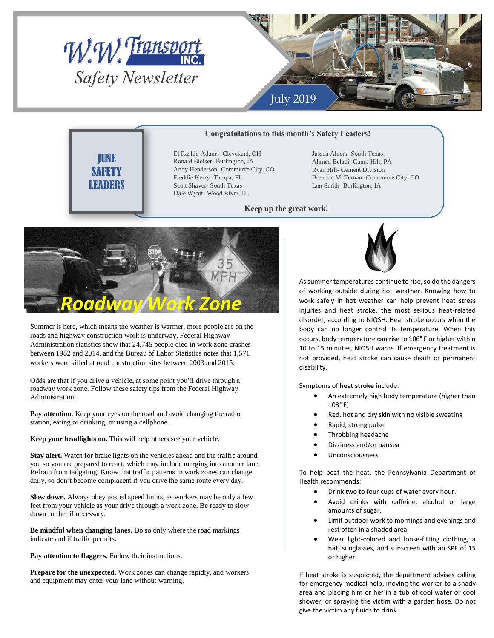



## **Congratulations to this month's Safety Leaders!**

JUNE SAFETY LEADERS

El Rashid Adams- Cleveland, OH Ronald Bielser- Burlington, IA Andy Henderson- Commerce City, CO Freddie Kerry- Tampa, FL Scott Shaver- South Texas Dale Wyatt- Wood River, IL

Jassen Ahlers- South Texas Ahmed Beladi- Camp Hill, PA Ryan Hill- Cement Division Brendan McTernan- Commerce City, CO Lon Smith- Burlington, IA

## **Keep up the great work!**



Summer is here, which means the weather is warmer, more people are on the roads and highway construction work is underway. Federal Highway Administration statistics show that 24,745 people died in work zone crashes between 1982 and 2014, and the Bureau of Labor Statistics notes that 1,571 workers were killed at road construction sites between 2003 and 2015.

Odds are that if you drive a vehicle, at some point you'll drive through a roadway work zone. Follow these safety tips from the Federal Highway Administration:

Pay attention. Keep your eyes on the road and avoid changing the radio station, eating or drinking, or using a cellphone.

**Keep your headlights on.** This will help others see your vehicle.

**Stay alert.** Watch for brake lights on the vehicles ahead and the traffic around you so you are prepared to react, which may include merging into another lane. Refrain from tailgating. Know that traffic patterns in work zones can change daily, so don't become complacent if you drive the same route every day.

**Slow down.** Always obey posted speed limits, as workers may be only a few feet from your vehicle as your drive through a work zone. Be ready to slow down further if necessary.

**Be mindful when changing lanes.** Do so only where the road markings indicate and if traffic permits.

**Pay attention to flaggers.** Follow their instructions.

**Prepare for the unexpected.** Work zones can change rapidly, and workers and equipment may enter your lane without warning.



As summer temperatures continue to rise, so do the dangers of working outside during hot weather. Knowing how to work safely in hot weather can help prevent heat stress injuries and heat stroke, the most serious heat-related disorder, according to NIOSH. Heat stroke occurs when the body can no longer control its temperature. When this occurs, body temperature can rise to 106° F or higher within 10 to 15 minutes, NIOSH warns. If emergency treatment is not provided, heat stroke can cause death or permanent disability.

Symptoms of **heat stroke** include:

- An extremely high body temperature (higher than 103° F)
- Red, hot and dry skin with no visible sweating
- Rapid, strong pulse
- Throbbing headache
- Dizziness and/or nausea
- **Unconsciousness**

To help beat the heat, the Pennsylvania Department of Health recommends:

- Drink two to four cups of water every hour.
- Avoid drinks with caffeine, alcohol or large amounts of sugar.
- Limit outdoor work to mornings and evenings and rest often in a shaded area.
- Wear light-colored and loose-fitting clothing, a hat, sunglasses, and sunscreen with an SPF of 15 or higher.

If heat stroke is suspected, the department advises calling for emergency medical help, moving the worker to a shady area and placing him or her in a tub of cool water or cool shower, or spraying the victim with a garden hose. Do not give the victim any fluids to drink.